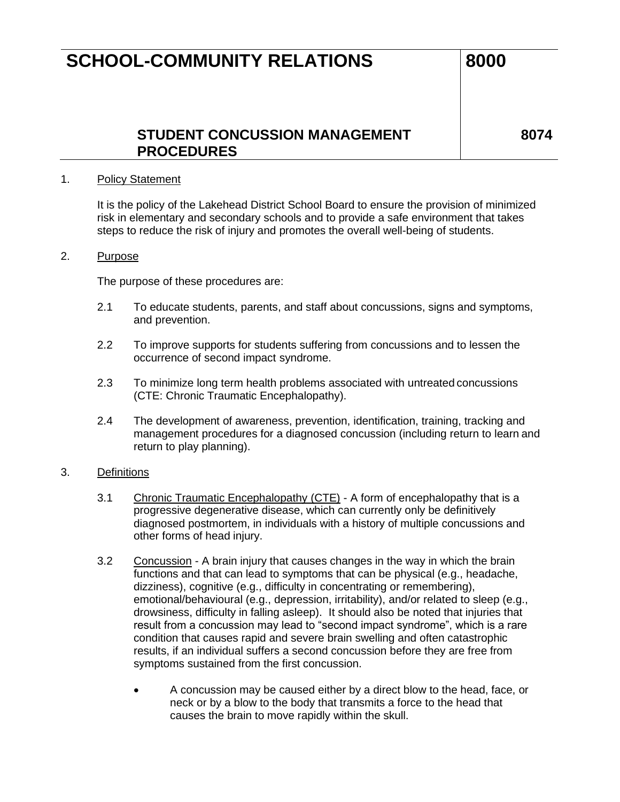### **STUDENT CONCUSSION MANAGEMENT PROCEDURES**

**8074**

#### 1. Policy Statement

It is the policy of the Lakehead District School Board to ensure the provision of minimized risk in elementary and secondary schools and to provide a safe environment that takes steps to reduce the risk of injury and promotes the overall well-being of students.

#### 2. Purpose

The purpose of these procedures are:

- 2.1 To educate students, parents, and staff about concussions, signs and symptoms, and prevention.
- 2.2 To improve supports for students suffering from concussions and to lessen the occurrence of second impact syndrome.
- 2.3 To minimize long term health problems associated with untreated concussions (CTE: Chronic Traumatic Encephalopathy).
- 2.4 The development of awareness, prevention, identification, training, tracking and management procedures for a diagnosed concussion (including return to learn and return to play planning).

#### 3. Definitions

- 3.1 Chronic Traumatic Encephalopathy (CTE) A form of encephalopathy that is a progressive degenerative disease, which can currently only be definitively diagnosed postmortem, in individuals with a history of multiple concussions and other forms of head injury.
- 3.2 Concussion A brain injury that causes changes in the way in which the brain functions and that can lead to symptoms that can be physical (e.g., headache, dizziness), cognitive (e.g., difficulty in concentrating or remembering), emotional/behavioural (e.g., depression, irritability), and/or related to sleep (e.g., drowsiness, difficulty in falling asleep). It should also be noted that injuries that result from a concussion may lead to "second impact syndrome", which is a rare condition that causes rapid and severe brain swelling and often catastrophic results, if an individual suffers a second concussion before they are free from symptoms sustained from the first concussion.
	- A concussion may be caused either by a direct blow to the head, face, or neck or by a blow to the body that transmits a force to the head that causes the brain to move rapidly within the skull.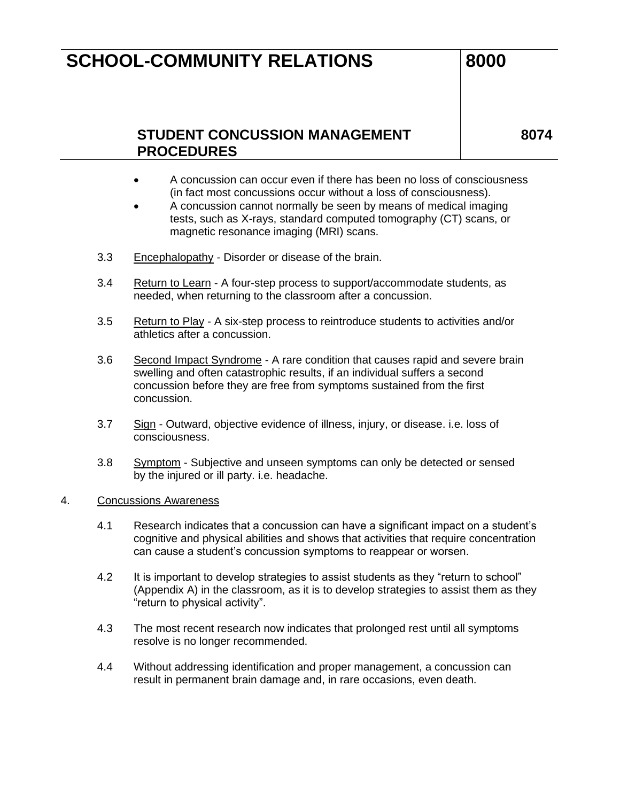### **STUDENT CONCUSSION MANAGEMENT PROCEDURES**

**8074**

- A concussion can occur even if there has been no loss of consciousness (in fact most concussions occur without a loss of consciousness).
- A concussion cannot normally be seen by means of medical imaging tests, such as X-rays, standard computed tomography (CT) scans, or magnetic resonance imaging (MRI) scans.
- 3.3 Encephalopathy Disorder or disease of the brain.
- 3.4 Return to Learn A four-step process to support/accommodate students, as needed, when returning to the classroom after a concussion.
- 3.5 Return to Play A six-step process to reintroduce students to activities and/or athletics after a concussion.
- 3.6 Second Impact Syndrome A rare condition that causes rapid and severe brain swelling and often catastrophic results, if an individual suffers a second concussion before they are free from symptoms sustained from the first concussion.
- 3.7 Sign Outward, objective evidence of illness, injury, or disease. i.e. loss of consciousness.
- 3.8 Symptom Subjective and unseen symptoms can only be detected or sensed by the injured or ill party. i.e. headache.

#### 4. Concussions Awareness

- 4.1 Research indicates that a concussion can have a significant impact on a student's cognitive and physical abilities and shows that activities that require concentration can cause a student's concussion symptoms to reappear or worsen.
- 4.2 It is important to develop strategies to assist students as they "return to school" (Appendix A) in the classroom, as it is to develop strategies to assist them as they "return to physical activity".
- 4.3 The most recent research now indicates that prolonged rest until all symptoms resolve is no longer recommended.
- 4.4 Without addressing identification and proper management, a concussion can result in permanent brain damage and, in rare occasions, even death.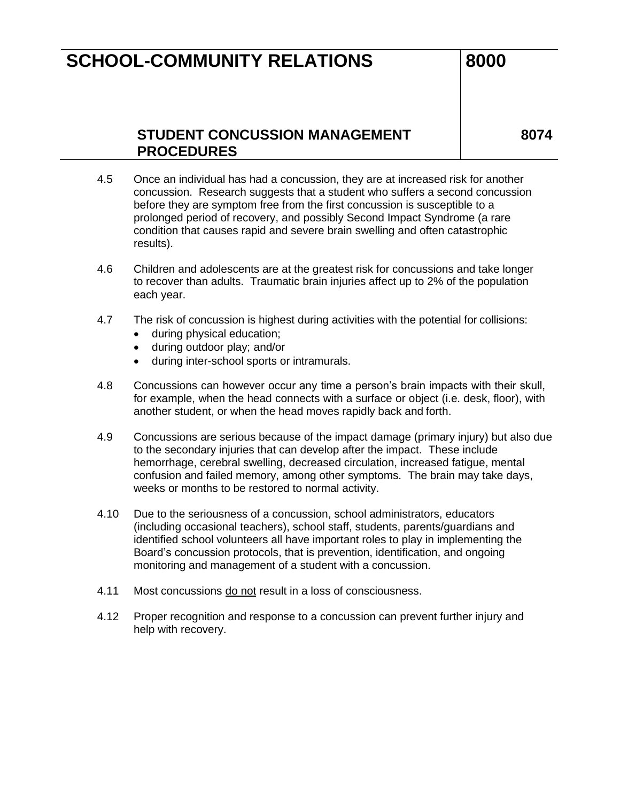### **STUDENT CONCUSSION MANAGEMENT PROCEDURES**

- 4.5 Once an individual has had a concussion, they are at increased risk for another concussion. Research suggests that a student who suffers a second concussion before they are symptom free from the first concussion is susceptible to a prolonged period of recovery, and possibly Second Impact Syndrome (a rare condition that causes rapid and severe brain swelling and often catastrophic results).
- 4.6 Children and adolescents are at the greatest risk for concussions and take longer to recover than adults. Traumatic brain injuries affect up to 2% of the population each year.
- 4.7 The risk of concussion is highest during activities with the potential for collisions:
	- during physical education;
	- during outdoor play; and/or
	- during inter-school sports or intramurals.
- 4.8 Concussions can however occur any time a person's brain impacts with their skull, for example, when the head connects with a surface or object (i.e. desk, floor), with another student, or when the head moves rapidly back and forth.
- 4.9 Concussions are serious because of the impact damage (primary injury) but also due to the secondary injuries that can develop after the impact. These include hemorrhage, cerebral swelling, decreased circulation, increased fatigue, mental confusion and failed memory, among other symptoms. The brain may take days, weeks or months to be restored to normal activity.
- 4.10 Due to the seriousness of a concussion, school administrators, educators (including occasional teachers), school staff, students, parents/guardians and identified school volunteers all have important roles to play in implementing the Board's concussion protocols, that is prevention, identification, and ongoing monitoring and management of a student with a concussion.
- 4.11 Most concussions do not result in a loss of consciousness.
- 4.12 Proper recognition and response to a concussion can prevent further injury and help with recovery.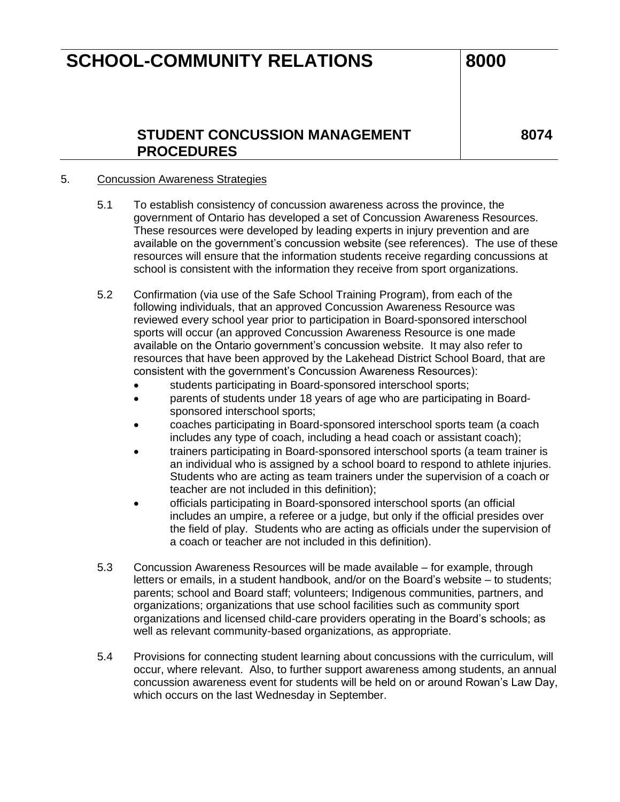### **STUDENT CONCUSSION MANAGEMENT PROCEDURES**

**8074**

#### 5. Concussion Awareness Strategies

- 5.1 To establish consistency of concussion awareness across the province, the government of Ontario has developed a set of Concussion Awareness Resources. These resources were developed by leading experts in injury prevention and are available on the government's concussion website (see references). The use of these resources will ensure that the information students receive regarding concussions at school is consistent with the information they receive from sport organizations.
- 5.2 Confirmation (via use of the Safe School Training Program), from each of the following individuals, that an approved Concussion Awareness Resource was reviewed every school year prior to participation in Board-sponsored interschool sports will occur (an approved Concussion Awareness Resource is one made available on the Ontario government's concussion website. It may also refer to resources that have been approved by the Lakehead District School Board, that are consistent with the government's Concussion Awareness Resources):
	- students participating in Board-sponsored interschool sports;
	- parents of students under 18 years of age who are participating in Boardsponsored interschool sports;
	- coaches participating in Board-sponsored interschool sports team (a coach includes any type of coach, including a head coach or assistant coach);
	- trainers participating in Board-sponsored interschool sports (a team trainer is an individual who is assigned by a school board to respond to athlete injuries. Students who are acting as team trainers under the supervision of a coach or teacher are not included in this definition);
	- officials participating in Board-sponsored interschool sports (an official includes an umpire, a referee or a judge, but only if the official presides over the field of play. Students who are acting as officials under the supervision of a coach or teacher are not included in this definition).
- 5.3 Concussion Awareness Resources will be made available for example, through letters or emails, in a student handbook, and/or on the Board's website – to students; parents; school and Board staff; volunteers; Indigenous communities, partners, and organizations; organizations that use school facilities such as community sport organizations and licensed child-care providers operating in the Board's schools; as well as relevant community-based organizations, as appropriate.
- 5.4 Provisions for connecting student learning about concussions with the curriculum, will occur, where relevant. Also, to further support awareness among students, an annual concussion awareness event for students will be held on or around Rowan's Law Day, which occurs on the last Wednesday in September.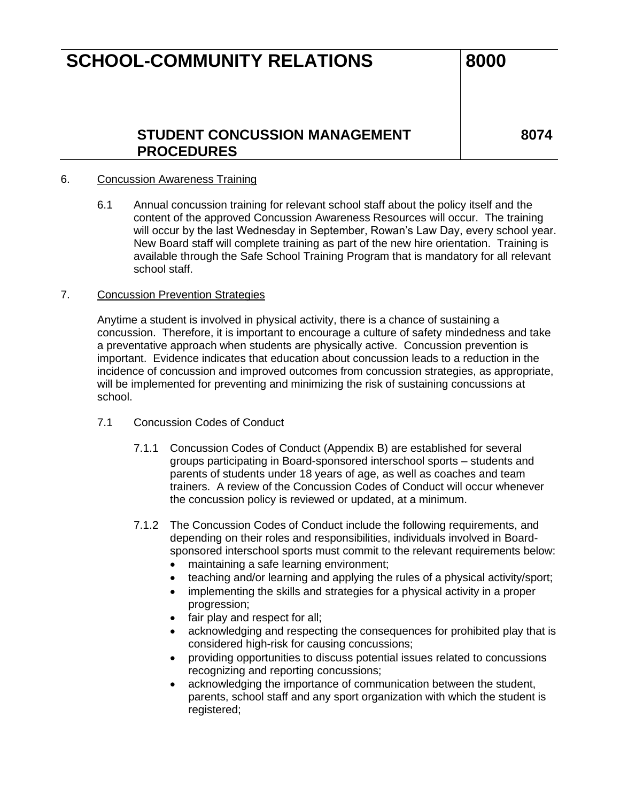### **STUDENT CONCUSSION MANAGEMENT PROCEDURES**

**8074**

#### 6. Concussion Awareness Training

6.1 Annual concussion training for relevant school staff about the policy itself and the content of the approved Concussion Awareness Resources will occur. The training will occur by the last Wednesday in September, Rowan's Law Day, every school year. New Board staff will complete training as part of the new hire orientation. Training is available through the Safe School Training Program that is mandatory for all relevant school staff.

#### 7. Concussion Prevention Strategies

Anytime a student is involved in physical activity, there is a chance of sustaining a concussion. Therefore, it is important to encourage a culture of safety mindedness and take a preventative approach when students are physically active. Concussion prevention is important. Evidence indicates that education about concussion leads to a reduction in the incidence of concussion and improved outcomes from concussion strategies, as appropriate, will be implemented for preventing and minimizing the risk of sustaining concussions at school.

- 7.1 Concussion Codes of Conduct
	- 7.1.1 Concussion Codes of Conduct (Appendix B) are established for several groups participating in Board-sponsored interschool sports – students and parents of students under 18 years of age, as well as coaches and team trainers. A review of the Concussion Codes of Conduct will occur whenever the concussion policy is reviewed or updated, at a minimum.
	- 7.1.2 The Concussion Codes of Conduct include the following requirements, and depending on their roles and responsibilities, individuals involved in Boardsponsored interschool sports must commit to the relevant requirements below:
		- maintaining a safe learning environment;
		- teaching and/or learning and applying the rules of a physical activity/sport;
		- implementing the skills and strategies for a physical activity in a proper progression;
		- fair play and respect for all;
		- acknowledging and respecting the consequences for prohibited play that is considered high-risk for causing concussions;
		- providing opportunities to discuss potential issues related to concussions recognizing and reporting concussions;
		- acknowledging the importance of communication between the student, parents, school staff and any sport organization with which the student is registered;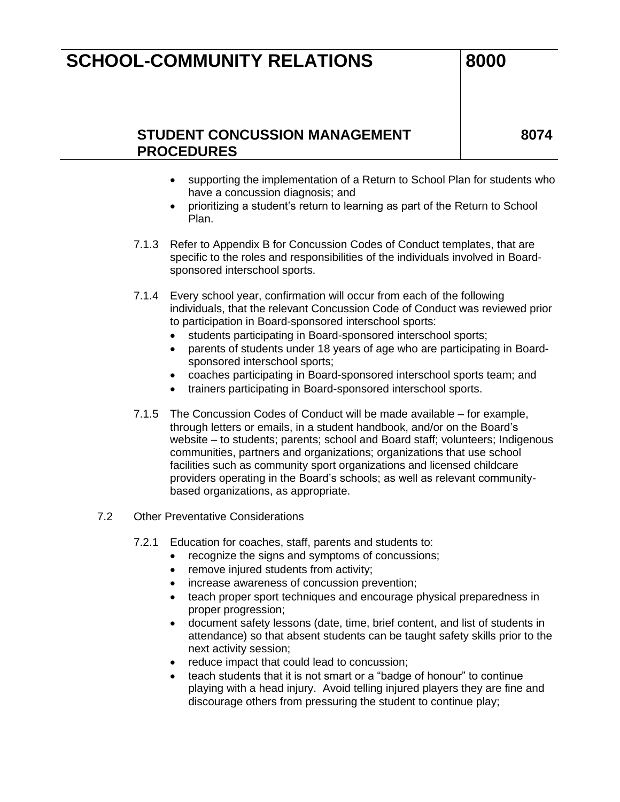### **STUDENT CONCUSSION MANAGEMENT PROCEDURES**

- supporting the implementation of a Return to School Plan for students who have a concussion diagnosis; and
- prioritizing a student's return to learning as part of the Return to School Plan.
- 7.1.3 Refer to Appendix B for Concussion Codes of Conduct templates, that are specific to the roles and responsibilities of the individuals involved in Boardsponsored interschool sports.
- 7.1.4 Every school year, confirmation will occur from each of the following individuals, that the relevant Concussion Code of Conduct was reviewed prior to participation in Board-sponsored interschool sports:
	- students participating in Board-sponsored interschool sports;
	- parents of students under 18 years of age who are participating in Boardsponsored interschool sports;
	- coaches participating in Board-sponsored interschool sports team; and
	- trainers participating in Board-sponsored interschool sports.
- 7.1.5 The Concussion Codes of Conduct will be made available for example, through letters or emails, in a student handbook, and/or on the Board's website – to students; parents; school and Board staff; volunteers; Indigenous communities, partners and organizations; organizations that use school facilities such as community sport organizations and licensed childcare providers operating in the Board's schools; as well as relevant communitybased organizations, as appropriate.
- 7.2 Other Preventative Considerations
	- 7.2.1 Education for coaches, staff, parents and students to:
		- recognize the signs and symptoms of concussions;
		- remove injured students from activity;
		- increase awareness of concussion prevention;
		- teach proper sport techniques and encourage physical preparedness in proper progression;
		- document safety lessons (date, time, brief content, and list of students in attendance) so that absent students can be taught safety skills prior to the next activity session;
		- reduce impact that could lead to concussion;
		- teach students that it is not smart or a "badge of honour" to continue playing with a head injury. Avoid telling injured players they are fine and discourage others from pressuring the student to continue play;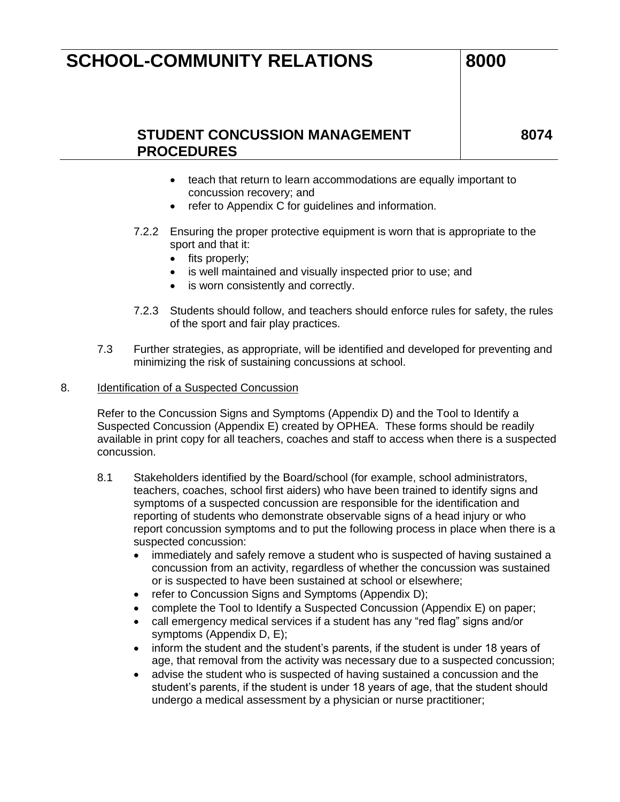### **STUDENT CONCUSSION MANAGEMENT PROCEDURES**

**8074**

- teach that return to learn accommodations are equally important to concussion recovery; and
- refer to Appendix C for guidelines and information.
- 7.2.2 Ensuring the proper protective equipment is worn that is appropriate to the sport and that it:
	- fits properly;
	- is well maintained and visually inspected prior to use; and
	- is worn consistently and correctly.
- 7.2.3 Students should follow, and teachers should enforce rules for safety, the rules of the sport and fair play practices.
- 7.3 Further strategies, as appropriate, will be identified and developed for preventing and minimizing the risk of sustaining concussions at school.

#### 8. Identification of a Suspected Concussion

Refer to the Concussion Signs and Symptoms (Appendix D) and the Tool to Identify a Suspected Concussion (Appendix E) created by OPHEA. These forms should be readily available in print copy for all teachers, coaches and staff to access when there is a suspected concussion.

- 8.1 Stakeholders identified by the Board/school (for example, school administrators, teachers, coaches, school first aiders) who have been trained to identify signs and symptoms of a suspected concussion are responsible for the identification and reporting of students who demonstrate observable signs of a head injury or who report concussion symptoms and to put the following process in place when there is a suspected concussion:
	- immediately and safely remove a student who is suspected of having sustained a concussion from an activity, regardless of whether the concussion was sustained or is suspected to have been sustained at school or elsewhere;
	- refer to Concussion Signs and Symptoms (Appendix D);
	- complete the Tool to Identify a Suspected Concussion (Appendix E) on paper;
	- call emergency medical services if a student has any "red flag" signs and/or symptoms (Appendix D, E);
	- inform the student and the student's parents, if the student is under 18 years of age, that removal from the activity was necessary due to a suspected concussion;
	- advise the student who is suspected of having sustained a concussion and the student's parents, if the student is under 18 years of age, that the student should undergo a medical assessment by a physician or nurse practitioner;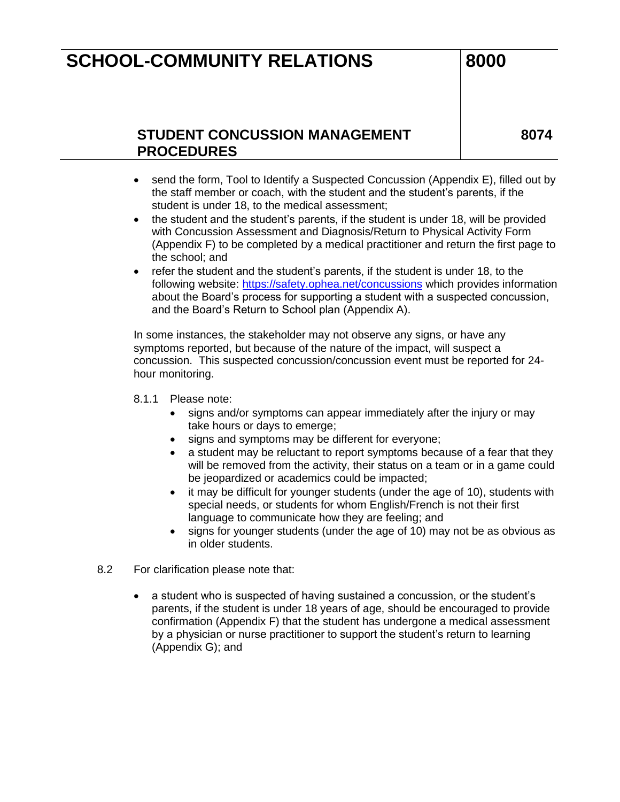### **STUDENT CONCUSSION MANAGEMENT PROCEDURES**

**8074**

- send the form, Tool to Identify a Suspected Concussion (Appendix E), filled out by the staff member or coach, with the student and the student's parents, if the student is under 18, to the medical assessment;
- the student and the student's parents, if the student is under 18, will be provided with Concussion Assessment and Diagnosis/Return to Physical Activity Form (Appendix F) to be completed by a medical practitioner and return the first page to the school; and
- refer the student and the student's parents, if the student is under 18, to the following website:<https://safety.ophea.net/concussions> which provides information about the Board's process for supporting a student with a suspected concussion, and the Board's Return to School plan (Appendix A).

In some instances, the stakeholder may not observe any signs, or have any symptoms reported, but because of the nature of the impact, will suspect a concussion. This suspected concussion/concussion event must be reported for 24 hour monitoring.

- 8.1.1 Please note:
	- signs and/or symptoms can appear immediately after the injury or may take hours or days to emerge;
	- signs and symptoms may be different for everyone;
	- a student may be reluctant to report symptoms because of a fear that they will be removed from the activity, their status on a team or in a game could be jeopardized or academics could be impacted;
	- it may be difficult for younger students (under the age of 10), students with special needs, or students for whom English/French is not their first language to communicate how they are feeling; and
	- signs for younger students (under the age of 10) may not be as obvious as in older students.
- 8.2 For clarification please note that:
	- a student who is suspected of having sustained a concussion, or the student's parents, if the student is under 18 years of age, should be encouraged to provide confirmation (Appendix F) that the student has undergone a medical assessment by a physician or nurse practitioner to support the student's return to learning (Appendix G); and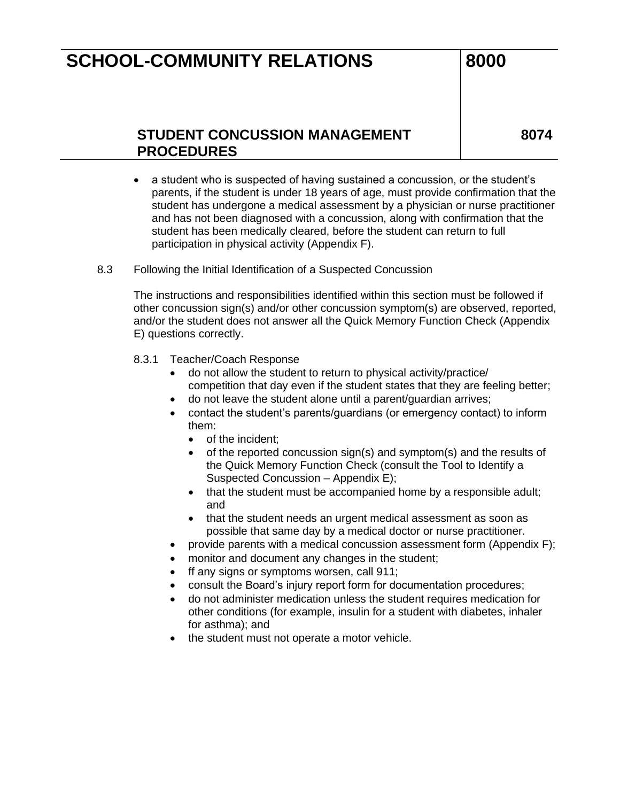### **STUDENT CONCUSSION MANAGEMENT PROCEDURES**

**8074**

- a student who is suspected of having sustained a concussion, or the student's parents, if the student is under 18 years of age, must provide confirmation that the student has undergone a medical assessment by a physician or nurse practitioner and has not been diagnosed with a concussion, along with confirmation that the student has been medically cleared, before the student can return to full participation in physical activity (Appendix F).
- 8.3 Following the Initial Identification of a Suspected Concussion

The instructions and responsibilities identified within this section must be followed if other concussion sign(s) and/or other concussion symptom(s) are observed, reported, and/or the student does not answer all the Quick Memory Function Check (Appendix E) questions correctly.

- 8.3.1 Teacher/Coach Response
	- do not allow the student to return to physical activity/practice/ competition that day even if the student states that they are feeling better;
	- do not leave the student alone until a parent/guardian arrives;
	- contact the student's parents/guardians (or emergency contact) to inform them:
		- of the incident:
		- of the reported concussion sign(s) and symptom(s) and the results of the Quick Memory Function Check (consult the Tool to Identify a Suspected Concussion – Appendix E);
		- that the student must be accompanied home by a responsible adult; and
		- that the student needs an urgent medical assessment as soon as possible that same day by a medical doctor or nurse practitioner.
	- provide parents with a medical concussion assessment form (Appendix F);
	- monitor and document any changes in the student;
	- ff any signs or symptoms worsen, call 911;
	- consult the Board's injury report form for documentation procedures;
	- do not administer medication unless the student requires medication for other conditions (for example, insulin for a student with diabetes, inhaler for asthma); and
	- the student must not operate a motor vehicle.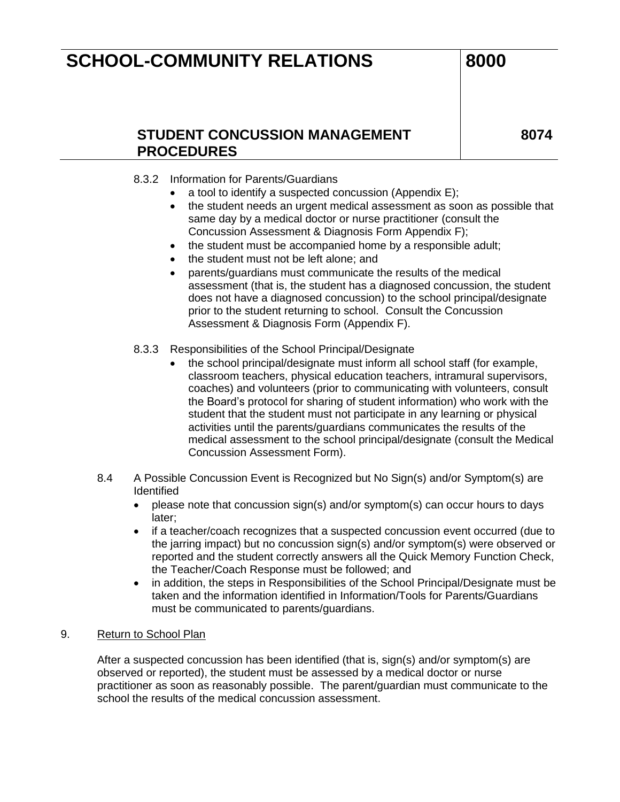### **STUDENT CONCUSSION MANAGEMENT PROCEDURES**

**8074**

#### 8.3.2 Information for Parents/Guardians

- a tool to identify a suspected concussion (Appendix E);
- the student needs an urgent medical assessment as soon as possible that same day by a medical doctor or nurse practitioner (consult the Concussion Assessment & Diagnosis Form Appendix F);
- the student must be accompanied home by a responsible adult;
- the student must not be left alone; and
- parents/guardians must communicate the results of the medical assessment (that is, the student has a diagnosed concussion, the student does not have a diagnosed concussion) to the school principal/designate prior to the student returning to school. Consult the Concussion Assessment & Diagnosis Form (Appendix F).
- 8.3.3 Responsibilities of the School Principal/Designate
	- the school principal/designate must inform all school staff (for example, classroom teachers, physical education teachers, intramural supervisors, coaches) and volunteers (prior to communicating with volunteers, consult the Board's protocol for sharing of student information) who work with the student that the student must not participate in any learning or physical activities until the parents/guardians communicates the results of the medical assessment to the school principal/designate (consult the Medical Concussion Assessment Form).
- 8.4 A Possible Concussion Event is Recognized but No Sign(s) and/or Symptom(s) are **Identified** 
	- please note that concussion sign(s) and/or symptom(s) can occur hours to days later;
	- if a teacher/coach recognizes that a suspected concussion event occurred (due to the jarring impact) but no concussion sign(s) and/or symptom(s) were observed or reported and the student correctly answers all the Quick Memory Function Check, the Teacher/Coach Response must be followed; and
	- in addition, the steps in Responsibilities of the School Principal/Designate must be taken and the information identified in Information/Tools for Parents/Guardians must be communicated to parents/guardians.

#### 9. Return to School Plan

After a suspected concussion has been identified (that is, sign(s) and/or symptom(s) are observed or reported), the student must be assessed by a medical doctor or nurse practitioner as soon as reasonably possible. The parent/guardian must communicate to the school the results of the medical concussion assessment.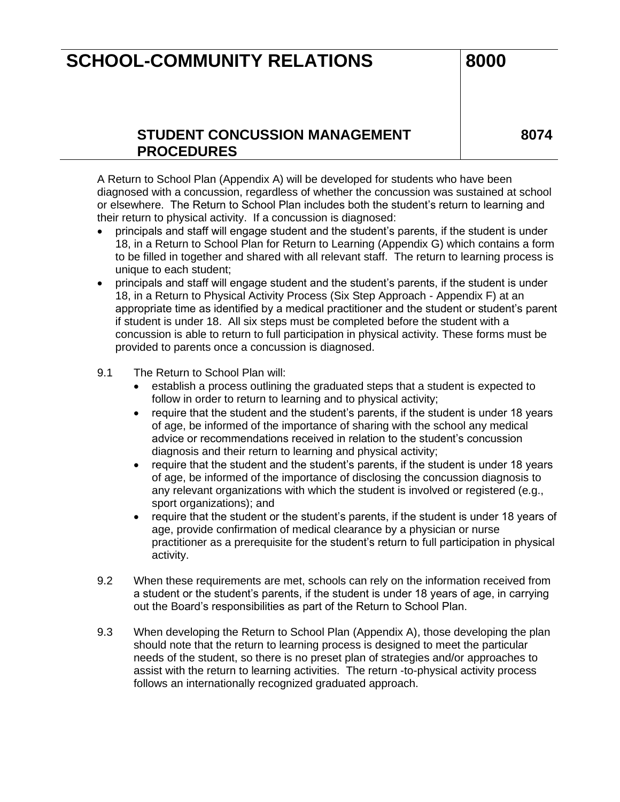### **STUDENT CONCUSSION MANAGEMENT PROCEDURES**

**8074**

A Return to School Plan (Appendix A) will be developed for students who have been diagnosed with a concussion, regardless of whether the concussion was sustained at school or elsewhere. The Return to School Plan includes both the student's return to learning and their return to physical activity. If a concussion is diagnosed:

- principals and staff will engage student and the student's parents, if the student is under 18, in a Return to School Plan for Return to Learning (Appendix G) which contains a form to be filled in together and shared with all relevant staff. The return to learning process is unique to each student;
- principals and staff will engage student and the student's parents, if the student is under 18, in a Return to Physical Activity Process (Six Step Approach - Appendix F) at an appropriate time as identified by a medical practitioner and the student or student's parent if student is under 18. All six steps must be completed before the student with a concussion is able to return to full participation in physical activity. These forms must be provided to parents once a concussion is diagnosed.
- 9.1 The Return to School Plan will:
	- establish a process outlining the graduated steps that a student is expected to follow in order to return to learning and to physical activity;
	- require that the student and the student's parents, if the student is under 18 years of age, be informed of the importance of sharing with the school any medical advice or recommendations received in relation to the student's concussion diagnosis and their return to learning and physical activity;
	- require that the student and the student's parents, if the student is under 18 years of age, be informed of the importance of disclosing the concussion diagnosis to any relevant organizations with which the student is involved or registered (e.g., sport organizations); and
	- require that the student or the student's parents, if the student is under 18 years of age, provide confirmation of medical clearance by a physician or nurse practitioner as a prerequisite for the student's return to full participation in physical activity.
- 9.2 When these requirements are met, schools can rely on the information received from a student or the student's parents, if the student is under 18 years of age, in carrying out the Board's responsibilities as part of the Return to School Plan.
- 9.3 When developing the Return to School Plan (Appendix A), those developing the plan should note that the return to learning process is designed to meet the particular needs of the student, so there is no preset plan of strategies and/or approaches to assist with the return to learning activities. The return -to-physical activity process follows an internationally recognized graduated approach.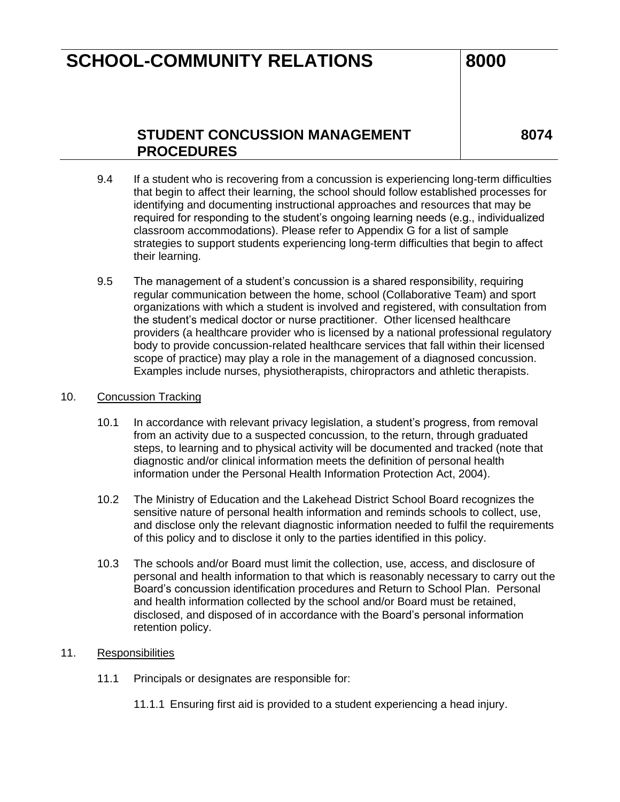### **STUDENT CONCUSSION MANAGEMENT PROCEDURES**

**8074**

- 9.4 If a student who is recovering from a concussion is experiencing long-term difficulties that begin to affect their learning, the school should follow established processes for identifying and documenting instructional approaches and resources that may be required for responding to the student's ongoing learning needs (e.g., individualized classroom accommodations). Please refer to Appendix G for a list of sample strategies to support students experiencing long-term difficulties that begin to affect their learning.
- 9.5 The management of a student's concussion is a shared responsibility, requiring regular communication between the home, school (Collaborative Team) and sport organizations with which a student is involved and registered, with consultation from the student's medical doctor or nurse practitioner. Other licensed healthcare providers (a healthcare provider who is licensed by a national professional regulatory body to provide concussion-related healthcare services that fall within their licensed scope of practice) may play a role in the management of a diagnosed concussion. Examples include nurses, physiotherapists, chiropractors and athletic therapists.

#### 10. Concussion Tracking

- 10.1 In accordance with relevant privacy legislation, a student's progress, from removal from an activity due to a suspected concussion, to the return, through graduated steps, to learning and to physical activity will be documented and tracked (note that diagnostic and/or clinical information meets the definition of personal health information under the Personal Health Information Protection Act, 2004).
- 10.2 The Ministry of Education and the Lakehead District School Board recognizes the sensitive nature of personal health information and reminds schools to collect, use, and disclose only the relevant diagnostic information needed to fulfil the requirements of this policy and to disclose it only to the parties identified in this policy.
- 10.3 The schools and/or Board must limit the collection, use, access, and disclosure of personal and health information to that which is reasonably necessary to carry out the Board's concussion identification procedures and Return to School Plan. Personal and health information collected by the school and/or Board must be retained, disclosed, and disposed of in accordance with the Board's personal information retention policy.

#### 11. Responsibilities

- 11.1 Principals or designates are responsible for:
	- 11.1.1 Ensuring first aid is provided to a student experiencing a head injury.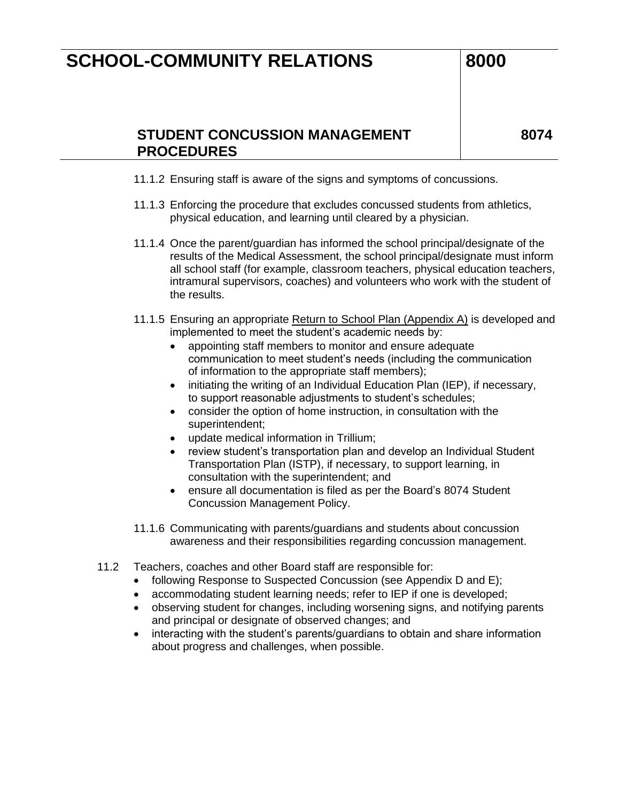### **STUDENT CONCUSSION MANAGEMENT PROCEDURES**

- 11.1.2 Ensuring staff is aware of the signs and symptoms of concussions.
- 11.1.3 Enforcing the procedure that excludes concussed students from athletics, physical education, and learning until cleared by a physician.
- 11.1.4 Once the parent/guardian has informed the school principal/designate of the results of the Medical Assessment, the school principal/designate must inform all school staff (for example, classroom teachers, physical education teachers, intramural supervisors, coaches) and volunteers who work with the student of the results.
- 11.1.5 Ensuring an appropriate Return to School Plan (Appendix A) is developed and implemented to meet the student's academic needs by:
	- appointing staff members to monitor and ensure adequate communication to meet student's needs (including the communication of information to the appropriate staff members);
	- initiating the writing of an Individual Education Plan (IEP), if necessary, to support reasonable adjustments to student's schedules;
	- consider the option of home instruction, in consultation with the superintendent;
	- update medical information in Trillium;
	- review student's transportation plan and develop an Individual Student Transportation Plan (ISTP), if necessary, to support learning, in consultation with the superintendent; and
	- ensure all documentation is filed as per the Board's 8074 Student Concussion Management Policy.
- 11.1.6 Communicating with parents/guardians and students about concussion awareness and their responsibilities regarding concussion management.
- 11.2 Teachers, coaches and other Board staff are responsible for:
	- following Response to Suspected Concussion (see Appendix D and E);
	- accommodating student learning needs; refer to IEP if one is developed;
	- observing student for changes, including worsening signs, and notifying parents and principal or designate of observed changes; and
	- interacting with the student's parents/guardians to obtain and share information about progress and challenges, when possible.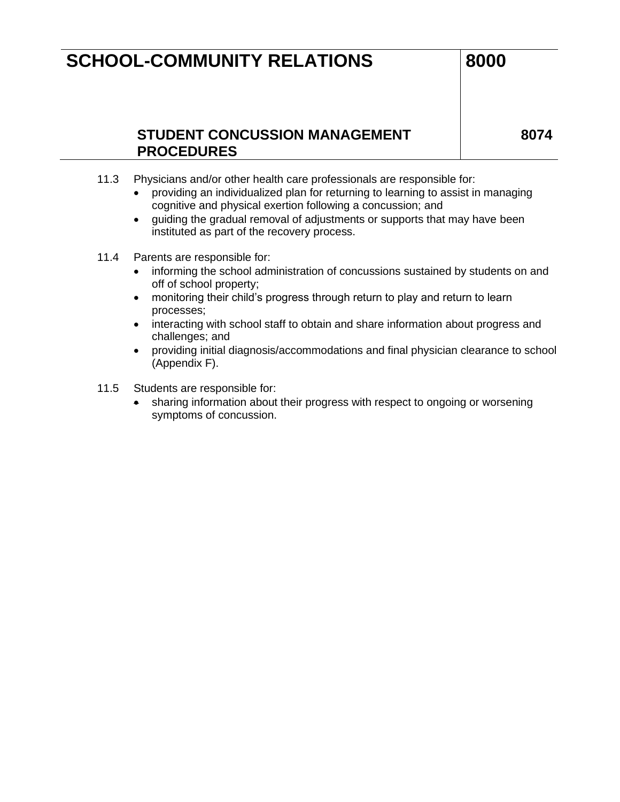### **STUDENT CONCUSSION MANAGEMENT PROCEDURES**

- 11.3 Physicians and/or other health care professionals are responsible for:
	- providing an individualized plan for returning to learning to assist in managing cognitive and physical exertion following a concussion; and
	- guiding the gradual removal of adjustments or supports that may have been instituted as part of the recovery process.
- 11.4 Parents are responsible for:
	- informing the school administration of concussions sustained by students on and off of school property;
	- monitoring their child's progress through return to play and return to learn processes;
	- interacting with school staff to obtain and share information about progress and challenges; and
	- providing initial diagnosis/accommodations and final physician clearance to school (Appendix F).
- 11.5 Students are responsible for:
	- sharing information about their progress with respect to ongoing or worsening symptoms of concussion.